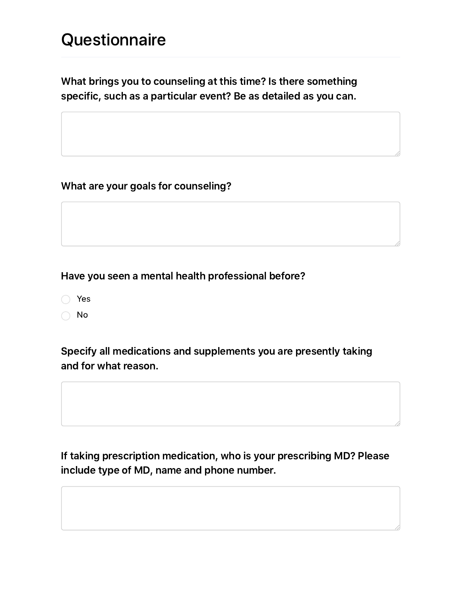# **Questionnaire**

What brings you to counseling at this time? Is there something specific, such as a particular event? Be as detailed as you can.

What are your goals for counseling?

#### Have you seen a mental health professional before?

- Yes
- ◯ No

# Specify all medications and supplements you are presently taking and for what reason.

If taking prescription medication, who is your prescribing MD? Please include type of MD, name and phone number.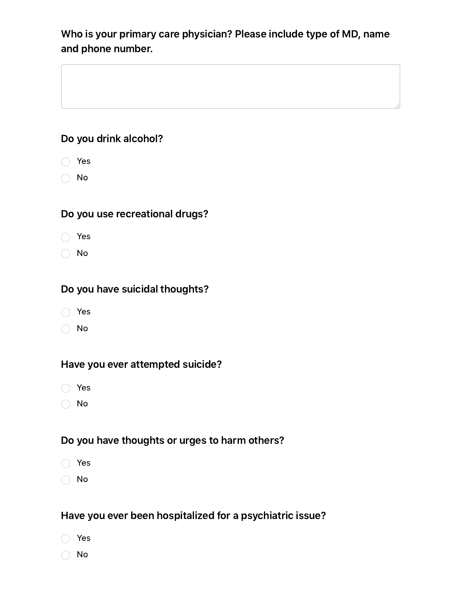# Who is your primary care physician? Please include type of MD, name and phone number.

## Do you drink alcohol?

- Yes
- No

### Do you use recreational drugs?

- Yes
- No

#### Do you have suicidal thoughts?

- Yes
- No

#### Have you ever attempted suicide?

- Yes
- ◯ No

#### Do you have thoughts or urges to harm others?

- Yes
- ◯ No

#### Have you ever been hospitalized for a psychiatric issue?

- Yes
- ◯ No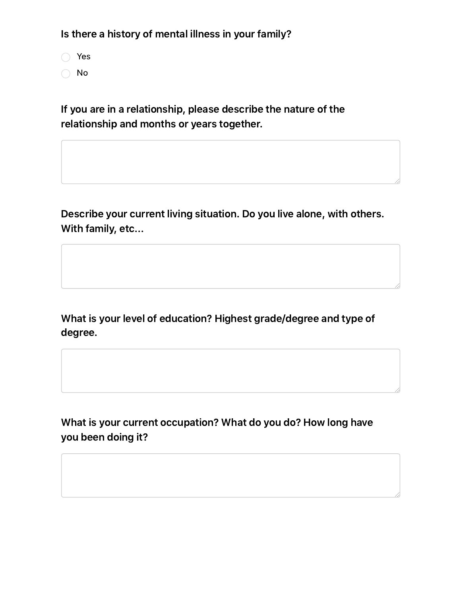Is there a history of mental illness in your family?

Yes ◯ No

If you are in a relationship, please describe the nature of the relationship and months or years together.

Describe your current living situation. Do you live alone, with others. With family, etc...

What is your level of education? Highest grade/degree and type of degree.

What is your current occupation? What do you do? How long have you been doing it?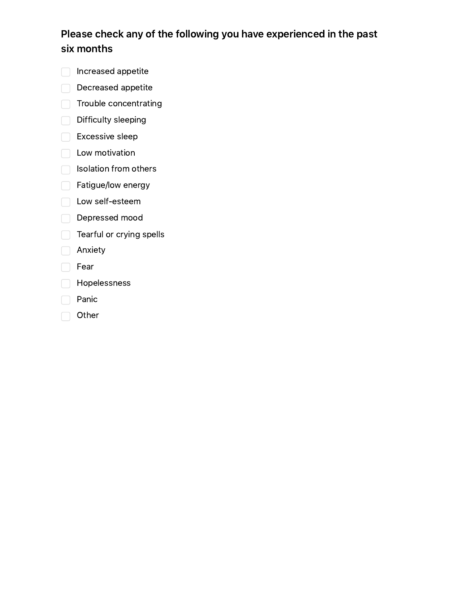# Please check any of the following you have experienced in the past six months

- **nd** Increased appetite
- Decreased appetite
- Trouble concentrating
- Difficulty sleeping
- $\Box$  Excessive sleep
- **Low motivation**
- $\Box$  Isolation from others
- Fatigue/low energy
- **Low self-esteem**
- Depressed mood
- Tearful or crying spells
- **Anxiety**
- $\Box$  Fear
- **C** Hopelessness
- $\Box$  Panic
- **Other**